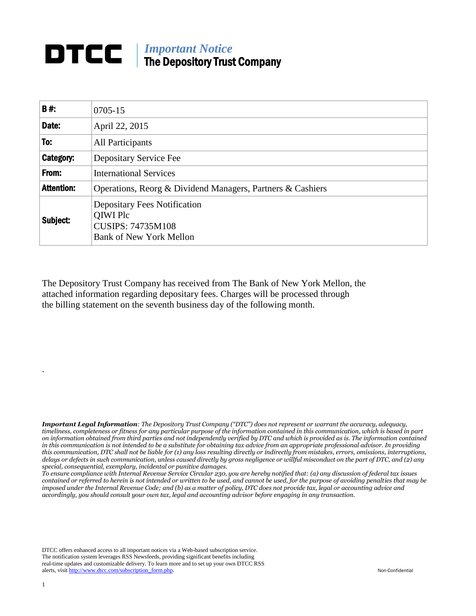## *Important Notice*<br>The Department Three The Depository Trust Company

| <b>B#:</b>        | $0705 - 15$                                                                                                          |
|-------------------|----------------------------------------------------------------------------------------------------------------------|
| Date:             | April 22, 2015                                                                                                       |
| To:               | All Participants                                                                                                     |
| Category:         | Depositary Service Fee                                                                                               |
| From:             | <b>International Services</b>                                                                                        |
| <b>Attention:</b> | Operations, Reorg & Dividend Managers, Partners & Cashiers                                                           |
| Subject:          | <b>Depositary Fees Notification</b><br><b>QIWI Plc</b><br><b>CUSIPS: 74735M108</b><br><b>Bank of New York Mellon</b> |

The Depository Trust Company has received from The Bank of New York Mellon, the attached information regarding depositary fees. Charges will be processed through the billing statement on the seventh business day of the following month.

*Important Legal Information: The Depository Trust Company ("DTC") does not represent or warrant the accuracy, adequacy, timeliness, completeness or fitness for any particular purpose of the information contained in this communication, which is based in part on information obtained from third parties and not independently verified by DTC and which is provided as is. The information contained in this communication is not intended to be a substitute for obtaining tax advice from an appropriate professional advisor. In providing this communication, DTC shall not be liable for (1) any loss resulting directly or indirectly from mistakes, errors, omissions, interruptions, delays or defects in such communication, unless caused directly by gross negligence or willful misconduct on the part of DTC, and (2) any special, consequential, exemplary, incidental or punitive damages.*

*To ensure compliance with Internal Revenue Service Circular 230, you are hereby notified that: (a) any discussion of federal tax issues contained or referred to herein is not intended or written to be used, and cannot be used, for the purpose of avoiding penalties that may be imposed under the Internal Revenue Code; and (b) as a matter of policy, DTC does not provide tax, legal or accounting advice and accordingly, you should consult your own tax, legal and accounting advisor before engaging in any transaction.*

DTCC offers enhanced access to all important notices via a Web-based subscription service. The notification system leverages RSS Newsfeeds, providing significant benefits including real-time updates and customizable delivery. To learn more and to set up your own DTCC RSS alerts, visit [http://www.dtcc.com/subscription\\_form.php.](http://www.dtcc.com/subscription_form.php) Non-Confidential

.